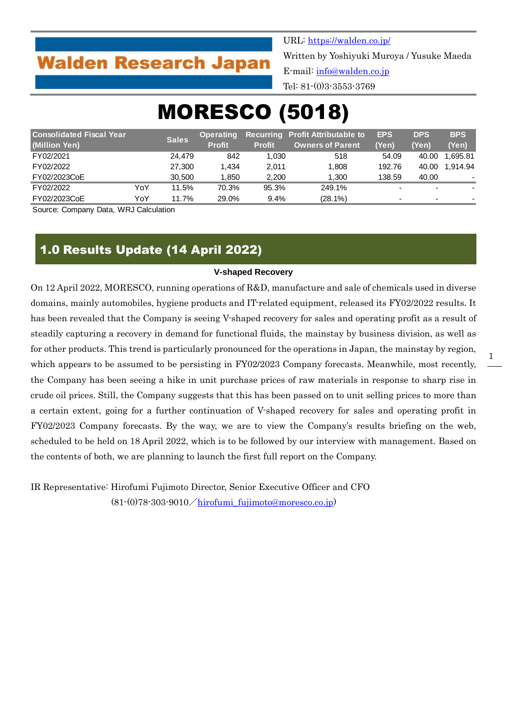# **Walden Research Japan**

URL:<https://walden.co.jp/> Written by Yoshiyuki Muroya / Yusuke Maeda E-mail: [info@walden.co.jp](mailto:info@walden.co.jp) Tel: 81-(0)3-3553-3769

# MORESCO (5018)

| <b>Consolidated Fiscal Year</b> |     |              | <b>Operating</b> |               | <b>Recurring Profit Attributable to</b> | <b>EPS</b> | <b>DPS</b>               | <b>BPS</b>               |
|---------------------------------|-----|--------------|------------------|---------------|-----------------------------------------|------------|--------------------------|--------------------------|
| (Million Yen)                   |     | <b>Sales</b> | <b>Profit</b>    | <b>Profit</b> | <b>Owners of Parent</b>                 | (Yen)      | (Yen)                    | (Yen)                    |
| FY02/2021                       |     | 24.479       | 842              | 1.030         | 518                                     | 54.09      | 40.00                    | 1.695.81                 |
| FY02/2022                       |     | 27,300       | 1.434            | 2.011         | 1.808                                   | 192.76     | 40.00                    | 1.914.94                 |
| FY02/2023CoE                    |     | 30.500       | 1,850            | 2,200         | 1.300                                   | 138.59     | 40.00                    |                          |
| FY02/2022                       | YoY | 11.5%        | 70.3%            | 95.3%         | 249.1%                                  |            | $\overline{\phantom{0}}$ |                          |
| FY02/2023CoE                    | YoY | 11.7%        | 29.0%            | $9.4\%$       | (28.1%)                                 | -          | $\overline{\phantom{0}}$ | $\overline{\phantom{a}}$ |

Source: Company Data, WRJ Calculation

## 1.0 Results Update (14 April 2022)

### **V-shaped Recovery**

On 12 April 2022, MORESCO, running operations of R&D, manufacture and sale of chemicals used in diverse domains, mainly automobiles, hygiene products and IT-related equipment, released its FY02/2022 results. It has been revealed that the Company is seeing V-shaped recovery for sales and operating profit as a result of steadily capturing a recovery in demand for functional fluids, the mainstay by business division, as well as for other products. This trend is particularly pronounced for the operations in Japan, the mainstay by region, which appears to be assumed to be persisting in FY02/2023 Company forecasts. Meanwhile, most recently, the Company has been seeing a hike in unit purchase prices of raw materials in response to sharp rise in crude oil prices. Still, the Company suggests that this has been passed on to unit selling prices to more than a certain extent, going for a further continuation of V-shaped recovery for sales and operating profit in FY02/2023 Company forecasts. By the way, we are to view the Company's results briefing on the web, scheduled to be held on 18 April 2022, which is to be followed by our interview with management. Based on the contents of both, we are planning to launch the first full report on the Company.

IR Representative: Hirofumi Fujimoto Director, Senior Executive Officer and CFO  $(81-(0)78-303-9010/hirofumi$  fujimoto@moresco.co.jp)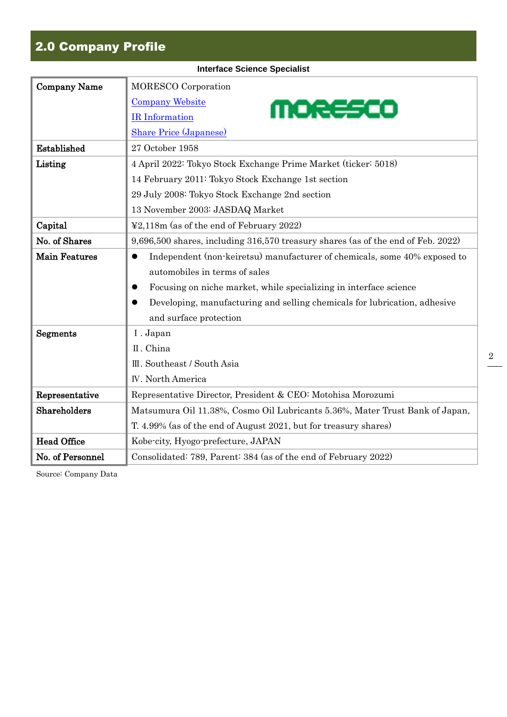# 2.0 Company Profile

| <b>Interface Science Specialist</b> |                                                                                        |  |  |  |  |  |
|-------------------------------------|----------------------------------------------------------------------------------------|--|--|--|--|--|
| <b>Company Name</b>                 | <b>MORESCO</b> Corporation                                                             |  |  |  |  |  |
|                                     | <b>Company Website</b><br>MORESCO                                                      |  |  |  |  |  |
|                                     | <b>IR</b> Information                                                                  |  |  |  |  |  |
|                                     | <b>Share Price (Japanese)</b>                                                          |  |  |  |  |  |
| Established                         | 27 October 1958                                                                        |  |  |  |  |  |
| Listing                             | 4 April 2022: Tokyo Stock Exchange Prime Market (ticker: 5018)                         |  |  |  |  |  |
|                                     | 14 February 2011: Tokyo Stock Exchange 1st section                                     |  |  |  |  |  |
|                                     | 29 July 2008: Tokyo Stock Exchange 2nd section                                         |  |  |  |  |  |
|                                     | 13 November 2003: JASDAQ Market                                                        |  |  |  |  |  |
| Capital                             | ¥2,118m (as of the end of February 2022)                                               |  |  |  |  |  |
| No. of Shares                       | 9,696,500 shares, including 316,570 treasury shares (as of the end of Feb. 2022)       |  |  |  |  |  |
| <b>Main Features</b>                | Independent (non-keiretsu) manufacturer of chemicals, some 40% exposed to<br>$\bullet$ |  |  |  |  |  |
|                                     | automobiles in terms of sales                                                          |  |  |  |  |  |
|                                     | Focusing on niche market, while specializing in interface science<br>●                 |  |  |  |  |  |
|                                     | Developing, manufacturing and selling chemicals for lubrication, adhesive<br>$\bullet$ |  |  |  |  |  |
|                                     | and surface protection                                                                 |  |  |  |  |  |
| Segments                            | I. Japan                                                                               |  |  |  |  |  |
|                                     | II. China                                                                              |  |  |  |  |  |
|                                     | III. Southeast / South Asia                                                            |  |  |  |  |  |
|                                     | <b>IV.</b> North America                                                               |  |  |  |  |  |
| Representative                      | Representative Director, President & CEO: Motohisa Morozumi                            |  |  |  |  |  |
| Shareholders                        | Matsumura Oil 11.38%, Cosmo Oil Lubricants 5.36%, Mater Trust Bank of Japan,           |  |  |  |  |  |
|                                     | T. 4.99% (as of the end of August 2021, but for treasury shares)                       |  |  |  |  |  |
| <b>Head Office</b>                  | Kobe-city, Hyogo-prefecture, JAPAN                                                     |  |  |  |  |  |
| No. of Personnel                    | Consolidated: 789, Parent: 384 (as of the end of February 2022)                        |  |  |  |  |  |

2

Source: Company Data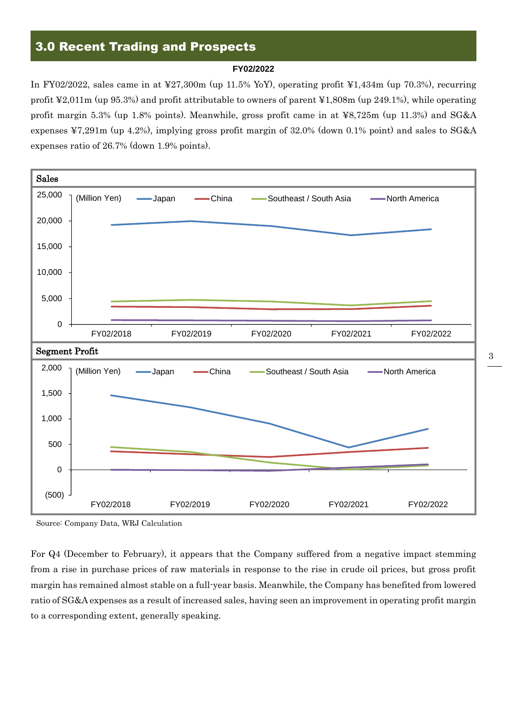## 3.0 Recent Trading and Prospects

#### **FY02/2022**

In FY02/2022, sales came in at ¥27,300m (up 11.5% YoY), operating profit ¥1,434m (up 70.3%), recurring profit ¥2,011m (up 95.3%) and profit attributable to owners of parent ¥1,808m (up 249.1%), while operating profit margin 5.3% (up 1.8% points). Meanwhile, gross profit came in at ¥8,725m (up 11.3%) and SG&A expenses ¥7,291m (up 4.2%), implying gross profit margin of 32.0% (down 0.1% point) and sales to SG&A expenses ratio of 26.7% (down 1.9% points).



Source: Company Data, WRJ Calculation

For Q4 (December to February), it appears that the Company suffered from a negative impact stemming from a rise in purchase prices of raw materials in response to the rise in crude oil prices, but gross profit margin has remained almost stable on a full-year basis. Meanwhile, the Company has benefited from lowered ratio of SG&A expenses as a result of increased sales, having seen an improvement in operating profit margin to a corresponding extent, generally speaking.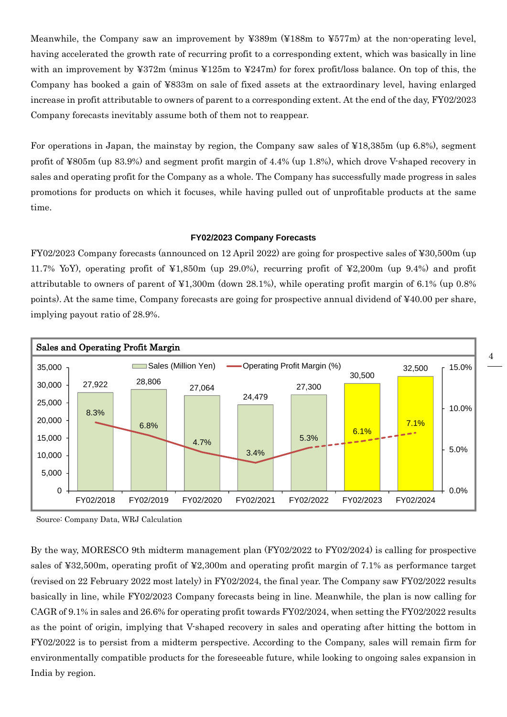Meanwhile, the Company saw an improvement by ¥389m (¥188m to ¥577m) at the non-operating level, having accelerated the growth rate of recurring profit to a corresponding extent, which was basically in line with an improvement by ¥372m (minus ¥125m to ¥247m) for forex profit/loss balance. On top of this, the Company has booked a gain of ¥833m on sale of fixed assets at the extraordinary level, having enlarged increase in profit attributable to owners of parent to a corresponding extent. At the end of the day, FY02/2023 Company forecasts inevitably assume both of them not to reappear.

For operations in Japan, the mainstay by region, the Company saw sales of ¥18,385m (up 6.8%), segment profit of ¥805m (up 83.9%) and segment profit margin of 4.4% (up 1.8%), which drove V-shaped recovery in sales and operating profit for the Company as a whole. The Company has successfully made progress in sales promotions for products on which it focuses, while having pulled out of unprofitable products at the same time.

### **FY02/2023 Company Forecasts**

FY02/2023 Company forecasts (announced on 12 April 2022) are going for prospective sales of ¥30,500m (up 11.7% YoY), operating profit of ¥1,850m (up 29.0%), recurring profit of ¥2,200m (up 9.4%) and profit attributable to owners of parent of ¥1,300m (down 28.1%), while operating profit margin of 6.1% (up 0.8% points). At the same time, Company forecasts are going for prospective annual dividend of ¥40.00 per share, implying payout ratio of 28.9%.



Source: Company Data, WRJ Calculation

By the way, MORESCO 9th midterm management plan (FY02/2022 to FY02/2024) is calling for prospective sales of ¥32,500m, operating profit of ¥2,300m and operating profit margin of 7.1% as performance target (revised on 22 February 2022 most lately) in FY02/2024, the final year. The Company saw FY02/2022 results basically in line, while FY02/2023 Company forecasts being in line. Meanwhile, the plan is now calling for CAGR of 9.1% in sales and 26.6% for operating profit towards FY02/2024, when setting the FY02/2022 results as the point of origin, implying that V-shaped recovery in sales and operating after hitting the bottom in FY02/2022 is to persist from a midterm perspective. According to the Company, sales will remain firm for environmentally compatible products for the foreseeable future, while looking to ongoing sales expansion in India by region.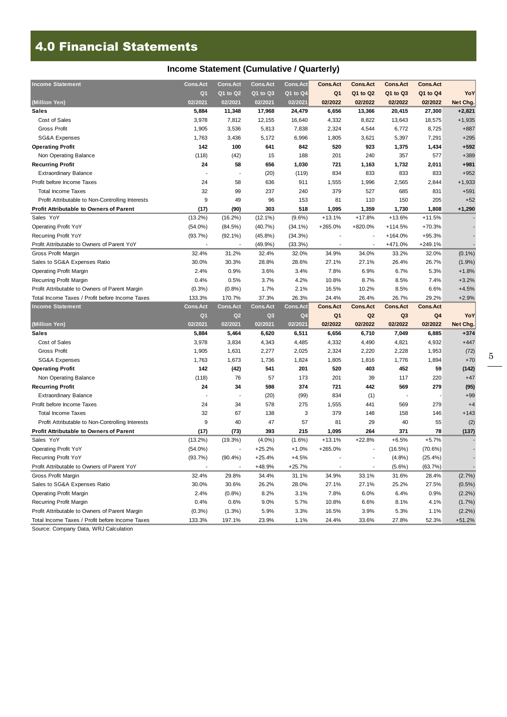# 4.0 Financial Statements

### **Income Statement (Cumulative / Quarterly)**

| <b>Income Statement</b>                          | <b>Cons.Act</b> | <b>Cons.Act</b>          | <b>Cons.Act</b> | <b>Cons.Act</b> | <b>Cons.Act</b> | <b>Cons.Act</b> | <b>Cons.Act</b>          | <b>Cons.Act</b> |           |
|--------------------------------------------------|-----------------|--------------------------|-----------------|-----------------|-----------------|-----------------|--------------------------|-----------------|-----------|
|                                                  | Q1              | Q1 to Q2                 | $Q1$ to $Q3$    | Q1 to Q4        | Q <sub>1</sub>  | Q1 to Q2        | Q1 to Q3                 | Q1 to Q4        | YoY       |
| (Million Yen)                                    | 02/2021         | 02/2021                  | 02/2021         | 02/2021         | 02/2022         | 02/2022         | 02/2022                  | 02/2022         | Net Chg.  |
| <b>Sales</b>                                     | 5,884           | 11,348                   | 17,968          | 24,479          | 6,656           | 13,366          | 20,415                   | 27,300          | $+2,821$  |
| Cost of Sales                                    | 3,978           | 7,812                    | 12,155          | 16,640          | 4,332           | 8,822           | 13,643                   | 18,575          | $+1,935$  |
| Gross Profit                                     | 1,905           | 3,536                    | 5,813           | 7,838           | 2,324           | 4,544           | 6,772                    | 8,725           | $+887$    |
| <b>SG&amp;A Expenses</b>                         | 1,763           | 3,436                    | 5,172           | 6,996           | 1,805           | 3,621           | 5,397                    | 7,291           | $+295$    |
| <b>Operating Profit</b>                          | 142             | 100                      | 641             | 842             | 520             | 923             | 1,375                    | 1,434           | $+592$    |
| Non Operating Balance                            | (118)           | (42)                     | 15              | 188             | 201             | 240             | 357                      | 577             | $+389$    |
| <b>Recurring Profit</b>                          | 24              | 58                       | 656             | 1,030           | 721             | 1,163           | 1,732                    | 2,011           | $+981$    |
| <b>Extraordinary Balance</b>                     |                 |                          | (20)            | (119)           | 834             | 833             | 833                      | 833             | $+952$    |
| Profit before Income Taxes                       | 24              | 58                       | 636             | 911             | 1,555           | 1,996           | 2,565                    | 2,844           | $+1,933$  |
| <b>Total Income Taxes</b>                        | 32              | 99                       | 237             | 240             | 379             | 527             | 685                      | 831             | $+591$    |
| Profit Attributable to Non-Controlling Interests | 9               | 49                       | 96              | 153             | 81              | 110             | 150                      | 205             | $+52$     |
| <b>Profit Attributable to Owners of Parent</b>   | (17)            | (90)                     | 303             | 518             | 1,095           | 1,359           | 1,730                    | 1,808           | $+1,290$  |
| Sales YoY                                        | $(13.2\%)$      | $(16.2\%)$               | $(12.1\%)$      | $(9.6\%)$       | $+13.1%$        | $+17.8%$        | $+13.6%$                 | $+11.5%$        |           |
| <b>Operating Profit YoY</b>                      | $(54.0\%)$      | (84.5%)                  | (40.7%)         | $(34.1\%)$      | $+265.0%$       | +820.0%         | $+114.5%$                | $+70.3%$        |           |
| Recurring Profit YoY                             | (93.7%)         | $(92.1\%)$               | $(45.8\%)$      | (34.3%)         |                 |                 | +164.0%                  | $+95.3%$        |           |
| Profit Attributable to Owners of Parent YoY      |                 | $\overline{\phantom{a}}$ | (49.9%          | (33.3%)         |                 |                 | +471.0%                  | +249.1%         |           |
| <b>Gross Profit Margin</b>                       | 32.4%           | 31.2%                    | 32.4%           | 32.0%           | 34.9%           | 34.0%           | 33.2%                    | 32.0%           | $(0.1\%)$ |
| Sales to SG&A Expenses Ratio                     | 30.0%           | 30.3%                    | 28.8%           | 28.6%           | 27.1%           | 27.1%           | 26.4%                    | 26.7%           | (1.9%)    |
| <b>Operating Profit Margin</b>                   | 2.4%            | 0.9%                     | 3.6%            | 3.4%            | 7.8%            | 6.9%            | 6.7%                     | 5.3%            | $+1.8%$   |
| Recurring Profit Margin                          | 0.4%            | 0.5%                     | 3.7%            | 4.2%            | 10.8%           | 8.7%            | 8.5%                     | 7.4%            | $+3.2%$   |
| Profit Attributable to Owners of Parent Margin   | $(0.3\%)$       | (0.8%                    | 1.7%            | 2.1%            | 16.5%           | 10.2%           | 8.5%                     | 6.6%            | $+4.5%$   |
| Total Income Taxes / Profit before Income Taxes  | 133.3%          | 170.7%                   | 37.3%           | 26.3%           | 24.4%           | 26.4%           | 26.7%                    | 29.2%           | $+2.9%$   |
|                                                  |                 |                          |                 |                 |                 |                 |                          |                 |           |
| <b>Income Statement</b>                          | <b>Cons.Act</b> | <b>Cons.Act</b>          | <b>Cons.Act</b> | <b>Cons.Act</b> | <b>Cons.Act</b> | <b>Cons.Act</b> | <b>Cons.Act</b>          | <b>Cons.Act</b> |           |
|                                                  | Q1              | Q2                       | Q3              | Q <sub>4</sub>  | Q <sub>1</sub>  | Q <sub>2</sub>  | Q <sub>3</sub>           | Q <sub>4</sub>  | YoY       |
| (Million Yen)                                    | 02/2021         | 02/2021                  | 02/2021         | 02/2021         | 02/2022         | 02/2022         | 02/2022                  | 02/2022         | Net Chg.  |
| <b>Sales</b>                                     | 5,884           | 5,464                    | 6,620           | 6,511           | 6,656           | 6,710           | 7,049                    | 6,885           | $+374$    |
| Cost of Sales                                    | 3,978           | 3,834                    | 4,343           | 4,485           | 4,332           | 4,490           | 4,821                    | 4,932           | $+447$    |
| <b>Gross Profit</b>                              | 1,905           | 1,631                    | 2,277           | 2,025           | 2,324           | 2,220           | 2,228                    | 1,953           | (72)      |
| <b>SG&amp;A Expenses</b>                         | 1,763           | 1,673                    | 1,736           | 1,824           | 1,805           | 1,816           | 1,776                    | 1,894           | $+70$     |
| <b>Operating Profit</b>                          | 142             | (42)                     | 541             | 201             | 520             | 403             | 452                      | 59              | (142)     |
| Non Operating Balance                            | (118)           | 76                       | 57              | 173             | 201             | 39              | 117                      | 220             | $+47$     |
| <b>Recurring Profit</b>                          | 24              | 34                       | 598             | 374             | 721             | 442             | 569                      | 279             | (95)      |
| <b>Extraordinary Balance</b>                     |                 |                          | (20)            | (99)            | 834             | (1)             | $\overline{\phantom{a}}$ |                 | $+99$     |
| Profit before Income Taxes                       | 24              | 34                       | 578             | 275             | 1,555           | 441             | 569                      | 279             | $+4$      |
| <b>Total Income Taxes</b>                        | 32              | 67                       | 138             | 3               | 379             | 148             | 158                      | 146             | $+143$    |
| Profit Attributable to Non-Controlling Interests | 9               | 40                       | 47              | 57              | 81              | 29              | 40                       | 55              | (2)       |
| <b>Profit Attributable to Owners of Parent</b>   | (17)            | (73)                     | 393             | 215             | 1,095           | 264             | 371                      | 78              | (137)     |
| Sales YoY                                        | $(13.2\%)$      | (19.3%)                  | $(4.0\%)$       | $(1.6\%)$       | $+13.1%$        | $+22.8%$        | $+6.5%$                  | $+5.7%$         |           |
| <b>Operating Profit YoY</b>                      | $(54.0\%)$      |                          | $+25.2%$        | $+1.0%$         | $+265.0%$       |                 | $(16.5\%)$               | (70.6%)         |           |
| Recurring Profit YoY                             | (93.7%)         | (90.4%                   | +25.4%          | $+4.5%$         |                 |                 | (4.8%)                   | (25.4%)         |           |
| Profit Attributable to Owners of Parent YoY      |                 |                          | +48.9%          | $+25.7%$        |                 |                 | $(5.6\%)$                | (63.7%)         |           |
| Gross Profit Margin                              | 32.4%           | 29.8%                    | 34.4%           | 31.1%           | 34.9%           | 33.1%           | 31.6%                    | 28.4%           | (2.7%)    |
| Sales to SG&A Expenses Ratio                     | 30.0%           | 30.6%                    | 26.2%           | 28.0%           | 27.1%           | 27.1%           | 25.2%                    | 27.5%           | $(0.5\%)$ |
| <b>Operating Profit Margin</b>                   | 2.4%            | (0.8%                    | 8.2%            | 3.1%            | 7.8%            | 6.0%            | 6.4%                     | 0.9%            | (2.2%)    |
| Recurring Profit Margin                          | 0.4%            | 0.6%                     | 9.0%            | 5.7%            | 10.8%           | 6.6%            | 8.1%                     | 4.1%            | (1.7%)    |
| Profit Attributable to Owners of Parent Margin   | $(0.3\%)$       | (1.3%)                   | 5.9%            | 3.3%            | 16.5%           | 3.9%            | 5.3%                     | 1.1%            | (2.2%)    |

Source: Company Data, WRJ Calculation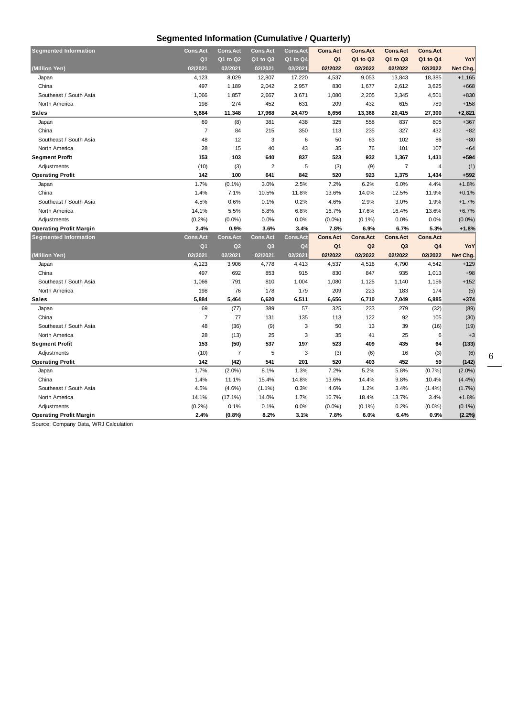### **Segmented Information (Cumulative / Quarterly)**

| <b>Segmented Information</b>   | <b>Cons.Act</b> | <b>Cons.Act</b> | <b>Cons.Act</b> | <b>Cons.Act</b> | <b>Cons.Act</b> | <b>Cons.Act</b> | <b>Cons.Act</b> | <b>Cons.Act</b> |           |
|--------------------------------|-----------------|-----------------|-----------------|-----------------|-----------------|-----------------|-----------------|-----------------|-----------|
|                                | Q <sub>1</sub>  | Q1 to Q2        | Q1 to Q3        | $Q1$ to $Q4$    | Q <sub>1</sub>  | Q1 to Q2        | Q1 to Q3        | Q1 to Q4        | YoY       |
| (Million Yen)                  | 02/2021         | 02/2021         | 02/2021         | 02/2021         | 02/2022         | 02/2022         | 02/2022         | 02/2022         | Net Chg.  |
| Japan                          | 4,123           | 8,029           | 12,807          | 17,220          | 4,537           | 9,053           | 13,843          | 18,385          | $+1,165$  |
| China                          | 497             | 1,189           | 2,042           | 2,957           | 830             | 1,677           | 2,612           | 3,625           | $+668$    |
| Southeast / South Asia         | 1,066           | 1,857           | 2,667           | 3,671           | 1,080           | 2,205           | 3,345           | 4,501           | $+830$    |
| North America                  | 198             | 274             | 452             | 631             | 209             | 432             | 615             | 789             | $+158$    |
| <b>Sales</b>                   | 5,884           | 11,348          | 17,968          | 24,479          | 6,656           | 13,366          | 20,415          | 27,300          | $+2,821$  |
| Japan                          | 69              | (8)             | 381             | 438             | 325             | 558             | 837             | 805             | $+367$    |
| China                          | $\overline{7}$  | 84              | 215             | 350             | 113             | 235             | 327             | 432             | $+82$     |
| Southeast / South Asia         | 48              | 12              | 3               | 6               | 50              | 63              | 102             | 86              | $+80$     |
| North America                  | 28              | 15              | 40              | 43              | 35              | 76              | 101             | 107             | $+64$     |
| <b>Segment Profit</b>          | 153             | 103             | 640             | 837             | 523             | 932             | 1,367           | 1,431           | $+594$    |
| Adjustments                    | (10)            | (3)             | $\overline{2}$  | 5               | (3)             | (9)             | $\overline{7}$  | 4               | (1)       |
| <b>Operating Profit</b>        | 142             | 100             | 641             | 842             | 520             | 923             | 1,375           | 1,434           | $+592$    |
| Japan                          | 1.7%            | (0.1%           | 3.0%            | 2.5%            | 7.2%            | 6.2%            | 6.0%            | 4.4%            | $+1.8%$   |
| China                          | 1.4%            | 7.1%            | 10.5%           | 11.8%           | 13.6%           | 14.0%           | 12.5%           | 11.9%           | $+0.1%$   |
| Southeast / South Asia         | 4.5%            | 0.6%            | 0.1%            | 0.2%            | 4.6%            | 2.9%            | 3.0%            | 1.9%            | $+1.7%$   |
| North America                  | 14.1%           | 5.5%            | 8.8%            | 6.8%            | 16.7%           | 17.6%           | 16.4%           | 13.6%           | $+6.7%$   |
| Adjustments                    | (0.2%)          | $(0.0\%)$       | 0.0%            | 0.0%            | $(0.0\%)$       | $(0.1\%)$       | 0.0%            | 0.0%            | $(0.0\%)$ |
| <b>Operating Profit Margin</b> | 2.4%            | 0.9%            | 3.6%            | 3.4%            | 7.8%            | 6.9%            | 6.7%            | 5.3%            | $+1.8%$   |
| <b>Segmented Information</b>   | <b>Cons.Act</b> | <b>Cons.Act</b> | <b>Cons.Act</b> | Cons.Act        | <b>Cons.Act</b> | <b>Cons.Act</b> | <b>Cons.Act</b> | <b>Cons.Act</b> |           |
|                                | Q <sub>1</sub>  | Q2              | Q <sub>3</sub>  | Q <sub>4</sub>  | Q <sub>1</sub>  | Q2              | Q3              | Q <sub>4</sub>  | YoY       |
|                                |                 |                 |                 |                 |                 |                 |                 |                 |           |
| (Million Yen)                  | 02/2021         | 02/2021         | 02/2021         | 02/2021         | 02/2022         | 02/2022         | 02/2022         | 02/2022         | Net Chg.  |
| Japan                          | 4,123           | 3,906           | 4,778           | 4,413           | 4,537           | 4,516           | 4,790           | 4,542           | $+129$    |
| China                          | 497             | 692             | 853             | 915             | 830             | 847             | 935             | 1,013           | $+98$     |
| Southeast / South Asia         | 1,066           | 791             | 810             | 1,004           | 1,080           | 1,125           | 1,140           | 1,156           | $+152$    |
| North America                  | 198             | 76              | 178             | 179             | 209             | 223             | 183             | 174             | (5)       |
| <b>Sales</b>                   | 5,884           | 5,464           | 6,620           | 6,511           | 6,656           | 6,710           | 7,049           | 6,885           | $+374$    |
| Japan                          | 69              | (77)            | 389             | 57              | 325             | 233             | 279             | (32)            | (89)      |
| China                          | $\overline{7}$  | 77              | 131             | 135             | 113             | 122             | 92              | 105             | (30)      |
| Southeast / South Asia         | 48              | (36)            | (9)             | 3               | 50              | 13              | 39              | (16)            | (19)      |
| North America                  | 28              | (13)            | 25              | 3               | 35              | 41              | 25              | 6               | $+3$      |
| <b>Segment Profit</b>          | 153             | (50)            | 537             | 197             | 523             | 409             | 435             | 64              | (133)     |
| Adjustments                    | (10)            | 7               | 5               | 3               | (3)             | (6)             | 16              | (3)             | (6)       |
| <b>Operating Profit</b>        | 142             | (42)            | 541             | 201             | 520             | 403             | 452             | 59              | (142)     |
| Japan                          | 1.7%            | $(2.0\%)$       | 8.1%            | 1.3%            | 7.2%            | 5.2%            | 5.8%            | (0.7%           | $(2.0\%)$ |
| China                          | 1.4%            | 11.1%           | 15.4%           | 14.8%           | 13.6%           | 14.4%           | 9.8%            | 10.4%           | (4.4%)    |
| Southeast / South Asia         | 4.5%            | $(4.6\%)$       | $(1.1\%)$       | 0.3%            | 4.6%            | 1.2%            | 3.4%            | (1.4%)          | (1.7%)    |
| North America                  | 14.1%           | $(17.1\%)$      | 14.0%           | 1.7%            | 16.7%           | 18.4%           | 13.7%           | 3.4%            | $+1.8%$   |
| Adjustments                    | (0.2%)          | 0.1%            | 0.1%            | 0.0%            | $(0.0\%)$       | $(0.1\%)$       | 0.2%            | $(0.0\%)$       | $(0.1\%)$ |

Source: Company Data, WRJ Calculation

6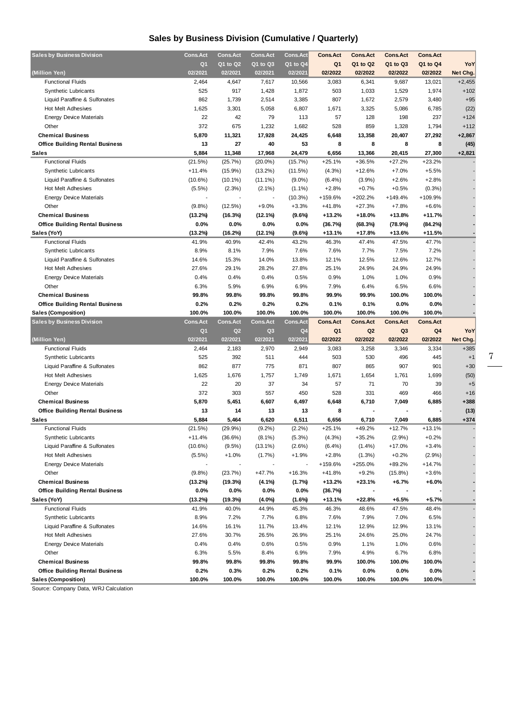### **Sales by Business Division (Cumulative / Quarterly)**

| <b>Sales by Business Division</b>      | Cons.Act        | <b>Cons.Act</b> | <b>Cons.Act</b> | <b>Cons.Act</b> | <b>Cons.Act</b> | <b>Cons.Act</b> | <b>Cons.Act</b> | <b>Cons.Act</b> |          |
|----------------------------------------|-----------------|-----------------|-----------------|-----------------|-----------------|-----------------|-----------------|-----------------|----------|
|                                        | Q <sub>1</sub>  | Q1 to Q2        | Q1 to Q3        | Q1 to Q4        | Q <sub>1</sub>  | Q1 to Q2        | Q1 to Q3        | Q1 to Q4        | YoY      |
| (Million Yen)                          | 02/2021         | 02/2021         | 02/2021         | 02/2021         | 02/2022         | 02/2022         | 02/2022         | 02/2022         | Net Chg. |
| <b>Functional Fluids</b>               | 2,464           | 4,647           | 7,617           | 10,566          | 3,083           | 6,341           | 9,687           | 13,021          | $+2,455$ |
| <b>Synthetic Lubricants</b>            | 525             | 917             | 1,428           | 1,872           | 503             | 1,033           | 1,529           | 1,974           | $+102$   |
| Liquid Paraffine & Sulfonates          | 862             | 1,739           | 2,514           | 3,385           | 807             | 1,672           | 2,579           | 3,480           | $+95$    |
| Hot Melt Adhesives                     | 1,625           | 3,301           | 5,058           | 6,807           | 1,671           | 3,325           | 5,086           | 6,785           | (22)     |
| <b>Energy Device Materials</b>         | 22              | 42              | 79              | 113             | 57              | 128             | 198             | 237             | $+124$   |
| Other                                  | 372             | 675             | 1,232           | 1,682           | 528             | 859             | 1,328           | 1,794           | $+112$   |
|                                        |                 |                 |                 |                 |                 |                 |                 |                 |          |
| <b>Chemical Business</b>               | 5,870           | 11,321          | 17,928          | 24,425          | 6,648           | 13,358          | 20,407          | 27,292          | $+2,867$ |
| <b>Office Building Rental Business</b> | 13              | 27              | 40              | 53              | 8               | 8               | 8               | 8               | (45)     |
| <b>Sales</b>                           | 5,884           | 11,348          | 17,968          | 24,479          | 6,656           | 13,366          | 20,415          | 27,300          | $+2,821$ |
| <b>Functional Fluids</b>               | (21.5%)         | (25.7%)         | $(20.0\%)$      | (15.7%)         | $+25.1%$        | $+36.5%$        | $+27.2%$        | $+23.2%$        |          |
| <b>Synthetic Lubricants</b>            | $+11.4%$        | $(15.9\%)$      | $(13.2\%)$      | (11.5%)         | (4.3%)          | $+12.6%$        | $+7.0%$         | $+5.5%$         |          |
| Liquid Paraffine & Sulfonates          | $(10.6\%)$      | $(10.1\%)$      | $(11.1\%)$      | $(9.0\%)$       | (6.4%)          | $(3.9\%)$       | $+2.6%$         | $+2.8%$         |          |
| Hot Melt Adhesives                     | $(5.5\%)$       | (2.3%)          | $(2.1\%)$       | $(1.1\%)$       | $+2.8%$         | $+0.7%$         | $+0.5%$         | (0.3%)          |          |
| <b>Energy Device Materials</b>         |                 |                 |                 | (10.3%)         | +159.6%         | $+202.2%$       | $+149.4%$       | +109.9%         |          |
| Other                                  | (9.8%           | (12.5%)         | $+9.0%$         | $+3.3%$         | $+41.8%$        | $+27.3%$        | $+7.8%$         | $+6.6%$         |          |
| <b>Chemical Business</b>               | (13.2%)         | (16.3%)         | (12.1%)         | (9.6%)          | $+13.2%$        | +18.0%          | $+13.8%$        | $+11.7%$        |          |
| <b>Office Building Rental Business</b> | 0.0%            | 0.0%            | $0.0\%$         | 0.0%            | (36.7%)         | (68.3%)         | (78.9%)         | (84.2%)         |          |
| Sales (YoY)                            | (13.2%)         | (16.2%)         | (12.1%)         | $(9.6\%)$       | +13.1%          | $+17.8%$        | $+13.6%$        | $+11.5%$        |          |
| <b>Functional Fluids</b>               | 41.9%           | 40.9%           | 42.4%           | 43.2%           | 46.3%           | 47.4%           | 47.5%           | 47.7%           |          |
| <b>Synthetic Lubricants</b>            | 8.9%            | 8.1%            | 7.9%            | 7.6%            | 7.6%            | 7.7%            | 7.5%            | 7.2%            |          |
| Liquid Paraffine & Sulfonates          | 14.6%           | 15.3%           | 14.0%           | 13.8%           | 12.1%           | 12.5%           | 12.6%           | 12.7%           |          |
| Hot Melt Adhesives                     | 27.6%           | 29.1%           | 28.2%           | 27.8%           | 25.1%           | 24.9%           | 24.9%           | 24.9%           |          |
| <b>Energy Device Materials</b>         | 0.4%            | 0.4%            | 0.4%            | 0.5%            | 0.9%            | 1.0%            | 1.0%            | 0.9%            |          |
| Other                                  | 6.3%            | 5.9%            | 6.9%            | 6.9%            | 7.9%            | 6.4%            | 6.5%            | 6.6%            |          |
| <b>Chemical Business</b>               | 99.8%           | 99.8%           | 99.8%           | 99.8%           | 99.9%           | 99.9%           | 100.0%          | 100.0%          |          |
| <b>Office Building Rental Business</b> | 0.2%            | 0.2%            | 0.2%            | 0.2%            | 0.1%            | 0.1%            | 0.0%            | 0.0%            |          |
| <b>Sales (Composition)</b>             | 100.0%          | 100.0%          | 100.0%          | 100.0%          | 100.0%          | 100.0%          | 100.0%          | 100.0%          |          |
| <b>Sales by Business Division</b>      | <b>Cons.Act</b> | <b>Cons.Act</b> | <b>Cons.Act</b> | <b>Cons.Act</b> | <b>Cons.Act</b> | <b>Cons.Act</b> | <b>Cons.Act</b> | <b>Cons.Act</b> |          |
|                                        |                 |                 |                 |                 |                 |                 |                 |                 |          |
|                                        |                 |                 |                 |                 |                 |                 |                 |                 |          |
|                                        | Q <sub>1</sub>  | Q2              | Q <sub>3</sub>  | Q <sub>4</sub>  | Q <sub>1</sub>  | Q <sub>2</sub>  | Q <sub>3</sub>  | Q <sub>4</sub>  | YoY      |
| (Million Yen)                          | 02/2021         | 02/2021         | 02/2021         | 02/2021         | 02/2022         | 02/2022         | 02/2022         | 02/2022         | Net Chg. |
| <b>Functional Fluids</b>               | 2,464           | 2,183           | 2,970           | 2,949           | 3,083           | 3,258           | 3,346           | 3,334           | $+385$   |
| <b>Synthetic Lubricants</b>            | 525             | 392             | 511             | 444             | 503             | 530             | 496             | 445             | $+1$     |
| Liquid Paraffine & Sulfonates          | 862             | 877             | 775             | 871             | 807             | 865             | 907             | 901             | $+30$    |
| Hot Melt Adhesives                     | 1,625           | 1,676           | 1,757           | 1,749           | 1,671           | 1,654           | 1,761           | 1,699           | (50)     |
| <b>Energy Device Materials</b>         | 22              | 20              | 37              | 34              | 57              | 71              | 70              | 39              | $+5$     |
| Other                                  | 372             | 303             | 557             | 450             | 528             | 331             | 469             | 466             | $+16$    |
| <b>Chemical Business</b>               | 5,870           | 5,451           | 6,607           | 6,497           | 6,648           | 6,710           | 7,049           | 6,885           | $+388$   |
| <b>Office Building Rental Business</b> | 13              | 14              | 13              | 13              | 8               |                 |                 |                 | (13)     |
| Sales                                  | 5,884           | 5,464           | 6,620           | 6,511           | 6,656           | 6,710           | 7,049           | 6,885           | $+374$   |
| <b>Functional Fluids</b>               | (21.5%)         | (29.9%)         | $(9.2\%)$       | (2.2%)          | $+25.1%$        | +49.2%          | $+12.7%$        | $+13.1%$        |          |
| Synthetic Lubricants                   | $+11.4%$        | (36.6%)         | $(8.1\%)$       | (5.3%)          | (4.3%)          | $+35.2%$        | (2.9%)          | $+0.2%$         |          |
| Liquid Paraffine & Sulfonates          | $(10.6\%)$      | (9.5%)          | $(13.1\%)$      | $(2.6\%)$       | $(6.4\%)$       | $(1.4\%)$       | $+17.0%$        | $+3.4%$         |          |
| Hot Melt Adhesives                     | (5.5%)          | $+1.0%$         | $(1.7\%)$       | $+1.9%$         | $+2.8%$         | $(1.3\%)$       | $+0.2%$         | (2.9%)          |          |
| <b>Energy Device Materials</b>         |                 |                 |                 |                 | +159.6%         | +255.0%         | +89.2%          | +14.7%          |          |
| Other                                  | (9.8%)          | (23.7%)         | $+47.7%$        | $+16.3%$        | $+41.8%$        | $+9.2%$         | $(15.8\%)$      | $+3.6%$         |          |
| <b>Chemical Business</b>               | (13.2%)         | (19.3%)         | (4.1%)          | (1.7%)          | $+13.2%$        | $+23.1%$        | $+6.7%$         | $+6.0%$         |          |
| <b>Office Building Rental Business</b> | $0.0\%$         | $0.0\%$         | 0.0%            | $0.0\%$         | (36.7%)         |                 |                 |                 |          |
| Sales (YoY)                            | (13.2%)         | (19.3%)         | $(4.0\%)$       | (1.6%)          | +13.1%          | +22.8%          | +6.5%           | $+5.7%$         |          |
| <b>Functional Fluids</b>               | 41.9%           | 40.0%           | 44.9%           | 45.3%           | 46.3%           | 48.6%           | 47.5%           | 48.4%           |          |
| <b>Synthetic Lubricants</b>            | 8.9%            | 7.2%            | 7.7%            | 6.8%            | 7.6%            | 7.9%            | 7.0%            | 6.5%            |          |
| Liquid Paraffine & Sulfonates          | 14.6%           | 16.1%           | 11.7%           | 13.4%           | 12.1%           | 12.9%           | 12.9%           | 13.1%           |          |
| Hot Melt Adhesives                     | 27.6%           | 30.7%           | 26.5%           | 26.9%           | 25.1%           | 24.6%           | 25.0%           | 24.7%           |          |
| <b>Energy Device Materials</b>         | 0.4%            | 0.4%            | 0.6%            | 0.5%            | 0.9%            | 1.1%            | 1.0%            | 0.6%            |          |
| Other                                  | 6.3%            | 5.5%            | 8.4%            | 6.9%            | 7.9%            | 4.9%            | 6.7%            | 6.8%            |          |
| <b>Chemical Business</b>               | 99.8%           |                 | 99.8%           |                 |                 |                 |                 | 100.0%          |          |
| <b>Office Building Rental Business</b> | 0.2%            | 99.8%<br>0.3%   | 0.2%            | 99.8%<br>0.2%   | 99.9%<br>0.1%   | 100.0%<br>0.0%  | 100.0%<br>0.0%  | 0.0%            |          |

Source: Company Data, WRJ Calculation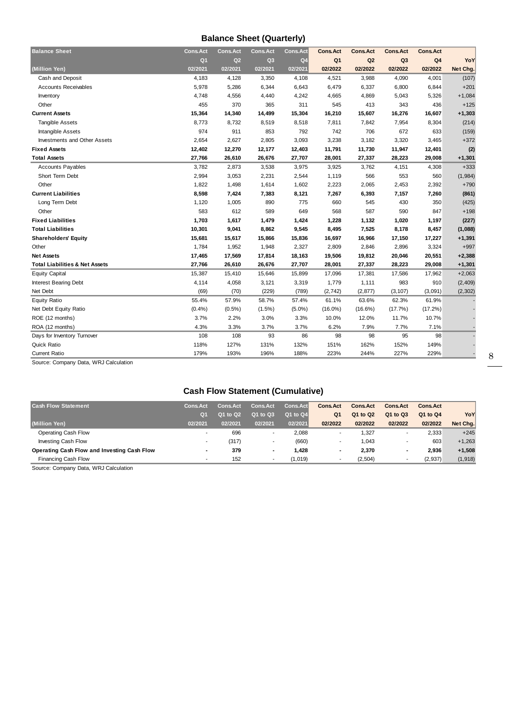### **Balance Sheet (Quarterly)**

| <b>Balance Sheet</b>                      | <b>Cons.Act</b> | <b>Cons.Act</b> | <b>Cons.Act</b> | Cons.Act       | <b>Cons.Act</b> | <b>Cons.Act</b> | <b>Cons.Act</b> | <b>Cons.Act</b> |          |
|-------------------------------------------|-----------------|-----------------|-----------------|----------------|-----------------|-----------------|-----------------|-----------------|----------|
|                                           | Q <sub>1</sub>  | Q2              | Q <sub>3</sub>  | Q <sub>4</sub> | Q <sub>1</sub>  | Q2              | Q <sub>3</sub>  | Q <sub>4</sub>  | YoY      |
| (Million Yen)                             | 02/2021         | 02/2021         | 02/2021         | 02/2021        | 02/2022         | 02/2022         | 02/2022         | 02/2022         | Net Chg. |
| Cash and Deposit                          | 4,183           | 4,128           | 3,350           | 4,108          | 4,521           | 3,988           | 4,090           | 4,001           | (107)    |
| <b>Accounts Receivables</b>               | 5,978           | 5,286           | 6,344           | 6,643          | 6,479           | 6,337           | 6,800           | 6,844           | $+201$   |
| Inventory                                 | 4,748           | 4,556           | 4,440           | 4,242          | 4,665           | 4,869           | 5,043           | 5,326           | $+1,084$ |
| Other                                     | 455             | 370             | 365             | 311            | 545             | 413             | 343             | 436             | $+125$   |
| <b>Current Assets</b>                     | 15,364          | 14,340          | 14,499          | 15,304         | 16,210          | 15,607          | 16,276          | 16,607          | $+1,303$ |
| <b>Tangible Assets</b>                    | 8,773           | 8,732           | 8,519           | 8,518          | 7,811           | 7,842           | 7,954           | 8,304           | (214)    |
| Intangible Assets                         | 974             | 911             | 853             | 792            | 742             | 706             | 672             | 633             | (159)    |
| <b>Investments and Other Assets</b>       | 2,654           | 2,627           | 2,805           | 3,093          | 3,238           | 3,182           | 3,320           | 3,465           | $+372$   |
| <b>Fixed Assets</b>                       | 12,402          | 12,270          | 12,177          | 12,403         | 11,791          | 11,730          | 11,947          | 12,401          | (2)      |
| <b>Total Assets</b>                       | 27,766          | 26,610          | 26,676          | 27,707         | 28,001          | 27,337          | 28,223          | 29,008          | $+1,301$ |
| <b>Accounts Payables</b>                  | 3,782           | 2,873           | 3,538           | 3,975          | 3,925           | 3,762           | 4,151           | 4,308           | $+333$   |
| Short Term Debt                           | 2,994           | 3,053           | 2,231           | 2,544          | 1,119           | 566             | 553             | 560             | (1,984)  |
| Other                                     | 1,822           | 1,498           | 1,614           | 1,602          | 2,223           | 2,065           | 2,453           | 2,392           | $+790$   |
| <b>Current Liabilities</b>                | 8,598           | 7,424           | 7,383           | 8,121          | 7,267           | 6,393           | 7,157           | 7,260           | (861)    |
| Long Term Debt                            | 1,120           | 1,005           | 890             | 775            | 660             | 545             | 430             | 350             | (425)    |
| Other                                     | 583             | 612             | 589             | 649            | 568             | 587             | 590             | 847             | $+198$   |
| <b>Fixed Liabilities</b>                  | 1,703           | 1,617           | 1,479           | 1,424          | 1,228           | 1,132           | 1,020           | 1,197           | (227)    |
| <b>Total Liabilities</b>                  | 10,301          | 9,041           | 8,862           | 9,545          | 8,495           | 7,525           | 8,178           | 8,457           | (1,088)  |
| <b>Shareholders' Equity</b>               | 15,681          | 15,617          | 15,866          | 15,836         | 16,697          | 16,966          | 17,150          | 17,227          | $+1,391$ |
| Other                                     | 1,784           | 1,952           | 1,948           | 2,327          | 2,809           | 2,846           | 2,896           | 3,324           | $+997$   |
| <b>Net Assets</b>                         | 17,465          | 17,569          | 17,814          | 18,163         | 19,506          | 19,812          | 20,046          | 20,551          | $+2,388$ |
| <b>Total Liabilities &amp; Net Assets</b> | 27,766          | 26,610          | 26,676          | 27,707         | 28,001          | 27,337          | 28,223          | 29,008          | $+1,301$ |
| <b>Equity Capital</b>                     | 15,387          | 15,410          | 15,646          | 15,899         | 17,096          | 17,381          | 17,586          | 17,962          | $+2,063$ |
| <b>Interest Bearing Debt</b>              | 4,114           | 4,058           | 3,121           | 3,319          | 1,779           | 1,111           | 983             | 910             | (2, 409) |
| Net Debt                                  | (69)            | (70)            | (229)           | (789)          | (2, 742)        | (2, 877)        | (3, 107)        | (3,091)         | (2, 302) |
| <b>Equity Ratio</b>                       | 55.4%           | 57.9%           | 58.7%           | 57.4%          | 61.1%           | 63.6%           | 62.3%           | 61.9%           |          |
| Net Debt Equity Ratio                     | (0.4% )         | $(0.5\%)$       | $(1.5\%)$       | $(5.0\%)$      | $(16.0\%)$      | $(16.6\%)$      | (17.7%)         | $(17.2\%)$      |          |
| ROE (12 months)                           | 3.7%            | 2.2%            | 3.0%            | 3.3%           | 10.0%           | 12.0%           | 11.7%           | 10.7%           |          |
| ROA (12 months)                           | 4.3%            | 3.3%            | 3.7%            | 3.7%           | 6.2%            | 7.9%            | 7.7%            | 7.1%            |          |
| Days for Inventory Turnover               | 108             | 108             | 93              | 86             | 98              | 98              | 95              | 98              |          |
| Quick Ratio                               | 118%            | 127%            | 131%            | 132%           | 151%            | 162%            | 152%            | 149%            |          |
| <b>Current Ratio</b>                      | 179%            | 193%            | 196%            | 188%           | 223%            | 244%            | 227%            | 229%            |          |

Source: Company Data, WRJ Calculation

### **Cash Flow Statement (Cumulative)**

| <b>Cash Flow Statement</b>                  | <b>Cons.Act</b>          | <b>Cons.Act</b> | <b>Cons.Act</b> | Cons.Act | <b>Cons.Act</b>          | <b>Cons.Act</b> | <b>Cons.Act</b> | <b>Cons.Act</b> |          |
|---------------------------------------------|--------------------------|-----------------|-----------------|----------|--------------------------|-----------------|-----------------|-----------------|----------|
|                                             | O <sub>1</sub>           | 01 to 02        | Q1 to Q3        | Q1 to Q4 | Q <sub>1</sub>           | Q1 to Q2        | Q1 to Q3        | Q1 to Q4        | YoY      |
| (Million Yen)                               | 02/2021                  | 02/2021         | 02/2021         | 02/2021  | 02/2022                  | 02/2022         | 02/2022         | 02/2022         | Net Chg. |
| Operating Cash Flow                         |                          | 696             |                 | 2,088    |                          | 1,327           |                 | 2.333           | $+245$   |
| Investing Cash Flow                         |                          | (317)           |                 | (660)    |                          | 1,043           |                 | 603             | $+1.263$ |
| Operating Cash Flow and Investing Cash Flow | $\blacksquare$           | 379             |                 | 1.428    | $\overline{\phantom{0}}$ | 2,370           |                 | 2.936           | $+1,508$ |
| Financing Cash Flow                         | $\overline{\phantom{a}}$ | 152             |                 | (1.019)  |                          | (2,504)         |                 | (2, 937)        | (1, 918) |

Source: Company Data, WRJ Calculation